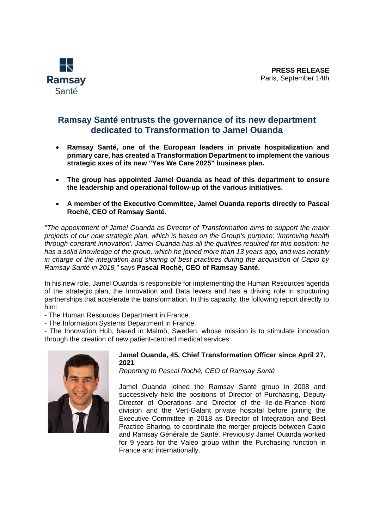

# **Ramsay Santé entrusts the governance of its new department dedicated to Transformation to Jamel Ouanda**

- **Ramsay Santé, one of the European leaders in private hospitalization and primary care, has created a Transformation Department to implement the various strategic axes of its new "Yes We Care 2025" business plan.**
- **The group has appointed Jamel Ouanda as head of this department to ensure the leadership and operational follow-up of the various initiatives.**
- **A member of the Executive Committee, Jamel Ouanda reports directly to Pascal Roché, CEO of Ramsay Santé.**

*"The appointment of Jamel Ouanda as Director of Transformation aims to support the major projects of our new strategic plan, which is based on the Group's purpose: 'Improving health through constant innovation'. Jamel Ouanda has all the qualities required for this position: he has a solid knowledge of the group, which he joined more than 13 years ago, and was notably in charge of the integration and sharing of best practices during the acquisition of Capio by Ramsay Santé in 2018,"* says **Pascal Roché, CEO of Ramsay Santé.**

In his new role, Jamel Ouanda is responsible for implementing the Human Resources agenda of the strategic plan, the Innovation and Data levers and has a driving role in structuring partnerships that accelerate the transformation. In this capacity, the following report directly to him:

- The Human Resources Department in France.

- The Information Systems Department in France.

- The Innovation Hub, based in Malmö, Sweden, whose mission is to stimulate innovation through the creation of new patient-centred medical services.



## **Jamel Ouanda, 45, Chief Transformation Officer since April 27, 2021**

*Reporting to Pascal Roché, CEO of Ramsay Santé*

Jamel Ouanda joined the Ramsay Santé group in 2008 and successively held the positions of Director of Purchasing, Deputy Director of Operations and Director of the Ile-de-France Nord division and the Vert-Galant private hospital before joining the Executive Committee in 2018 as Director of Integration and Best Practice Sharing, to coordinate the merger projects between Capio and Ramsay Générale de Santé. Previously Jamel Ouanda worked for 9 years for the Valeo group within the Purchasing function in France and internationally.